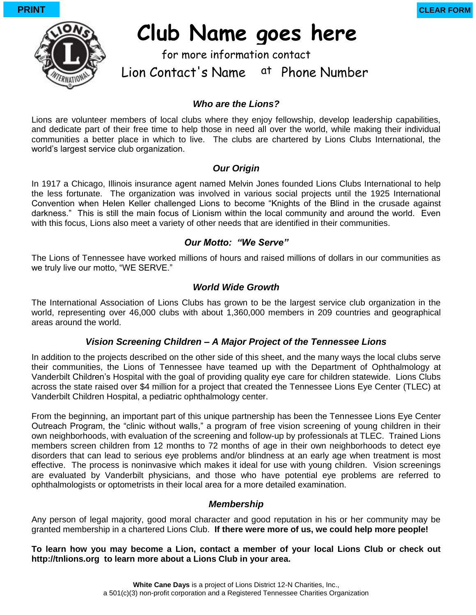

for more information contact Lion Contact's Name at Phone Number

# *Who are the Lions?*

Lions are volunteer members of local clubs where they enjoy fellowship, develop leadership capabilities, and dedicate part of their free time to help those in need all over the world, while making their individual communities a better place in which to live. The clubs are chartered by Lions Clubs International, the world's largest service club organization.

# *Our Origin*

In 1917 a Chicago, Illinois insurance agent named Melvin Jones founded Lions Clubs International to help the less fortunate. The organization was involved in various social projects until the 1925 International Convention when Helen Keller challenged Lions to become "Knights of the Blind in the crusade against darkness." This is still the main focus of Lionism within the local community and around the world. Even with this focus, Lions also meet a variety of other needs that are identified in their communities.

### *Our Motto: "We Serve"*

The Lions of Tennessee have worked millions of hours and raised millions of dollars in our communities as we truly live our motto, "WE SERVE."

### *World Wide Growth*

The International Association of Lions Clubs has grown to be the largest service club organization in the world, representing over 46,000 clubs with about 1,360,000 members in 209 countries and geographical areas around the world.

#### *Vision Screening Children – A Major Project of the Tennessee Lions*

In addition to the projects described on the other side of this sheet, and the many ways the local clubs serve their communities, the Lions of Tennessee have teamed up with the Department of Ophthalmology at Vanderbilt Children's Hospital with the goal of providing quality eye care for children statewide. Lions Clubs across the state raised over \$4 million for a project that created the Tennessee Lions Eye Center (TLEC) at Vanderbilt Children Hospital, a pediatric ophthalmology center.

From the beginning, an important part of this unique partnership has been the Tennessee Lions Eye Center Outreach Program, the "clinic without walls," a program of free vision screening of young children in their own neighborhoods, with evaluation of the screening and follow-up by professionals at TLEC. Trained Lions members screen children from 12 months to 72 months of age in their own neighborhoods to detect eye disorders that can lead to serious eye problems and/or blindness at an early age when treatment is most effective. The process is noninvasive which makes it ideal for use with young children. Vision screenings are evaluated by Vanderbilt physicians, and those who have potential eye problems are referred to ophthalmologists or optometrists in their local area for a more detailed examination. **EXERCTS CONSULTER CONSULTER CORPORATION CONSULTER CONSULTER CONSULTER CONSULTER CONSULTER CONSULTER CONSULTER CONSULTER CONSULTER CONSULTER CONSULTER CONSULTER CONSULTER CONSULTER CONSULTER CONSULTER CONSULTER CONSULTER** 

# *Membership*

Any person of legal majority, good moral character and good reputation in his or her community may be granted membership in a chartered Lions Club. **If there were more of us, we could help more people!** 

**To learn how you may become a Lion, contact a member of your local Lions Club or check out http://tnlions.org to learn more about a Lions Club in your area.**